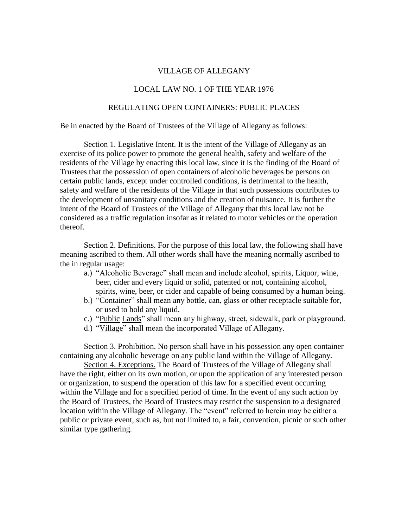## VILLAGE OF ALLEGANY

## LOCAL LAW NO. 1 OF THE YEAR 1976

## REGULATING OPEN CONTAINERS: PUBLIC PLACES

Be in enacted by the Board of Trustees of the Village of Allegany as follows:

Section 1. Legislative Intent. It is the intent of the Village of Allegany as an exercise of its police power to promote the general health, safety and welfare of the residents of the Village by enacting this local law, since it is the finding of the Board of Trustees that the possession of open containers of alcoholic beverages be persons on certain public lands, except under controlled conditions, is detrimental to the health, safety and welfare of the residents of the Village in that such possessions contributes to the development of unsanitary conditions and the creation of nuisance. It is further the intent of the Board of Trustees of the Village of Allegany that this local law not be considered as a traffic regulation insofar as it related to motor vehicles or the operation thereof.

Section 2. Definitions. For the purpose of this local law, the following shall have meaning ascribed to them. All other words shall have the meaning normally ascribed to the in regular usage:

- a.) "Alcoholic Beverage" shall mean and include alcohol, spirits, Liquor, wine, beer, cider and every liquid or solid, patented or not, containing alcohol, spirits, wine, beer, or cider and capable of being consumed by a human being.
- b.) "Container" shall mean any bottle, can, glass or other receptacle suitable for, or used to hold any liquid.
- c.) "Public Lands" shall mean any highway, street, sidewalk, park or playground.
- d.) "Village" shall mean the incorporated Village of Allegany.

Section 3. Prohibition. No person shall have in his possession any open container containing any alcoholic beverage on any public land within the Village of Allegany.

Section 4. Exceptions. The Board of Trustees of the Village of Allegany shall have the right, either on its own motion, or upon the application of any interested person or organization, to suspend the operation of this law for a specified event occurring within the Village and for a specified period of time. In the event of any such action by the Board of Trustees, the Board of Trustees may restrict the suspension to a designated location within the Village of Allegany. The "event" referred to herein may be either a public or private event, such as, but not limited to, a fair, convention, picnic or such other similar type gathering.